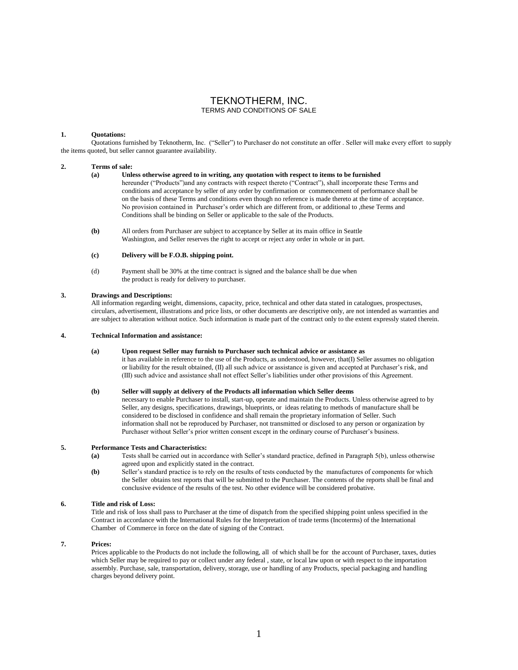## TEKNOTHERM, INC. TERMS AND CONDITIONS OF SALE

## **1. Quotations:**

Quotations furnished by Teknotherm, Inc. ("Seller") to Purchaser do not constitute an offer . Seller will make every effort to supply the items quoted, but seller cannot guarantee availability.

#### **2. Terms of sale:**

- **(a) Unless otherwise agreed to in writing, any quotation with respect to items to be furnished**  hereunder ("Products")and any contracts with respect thereto ("Contract"), shall incorporate these Terms and conditions and acceptance by seller of any order by confirmation or commencement of performance shall be on the basis of these Terms and conditions even though no reference is made thereto at the time of acceptance. No provision contained in Purchaser's order which are different from, or additional to ,these Terms and Conditions shall be binding on Seller or applicable to the sale of the Products.
- **(b)** All orders from Purchaser are subject to acceptance by Seller at its main office in Seattle Washington, and Seller reserves the right to accept or reject any order in whole or in part.

## **(c) Delivery will be F.O.B. shipping point.**

(d) Payment shall be 30% at the time contract is signed and the balance shall be due when the product is ready for delivery to purchaser.

### **3. Drawings and Descriptions:**

All information regarding weight, dimensions, capacity, price, technical and other data stated in catalogues, prospectuses, circulars, advertisement, illustrations and price lists, or other documents are descriptive only, are not intended as warranties and are subject to alteration without notice. Such information is made part of the contract only to the extent expressly stated therein.

### **4. Technical Information and assistance:**

### **(a) Upon request Seller may furnish to Purchaser such technical advice or assistance as**

it has available in reference to the use of the Products, as understood, however, that(I) Seller assumes no obligation or liability for the result obtained, (II) all such advice or assistance is given and accepted at Purchaser's risk, and (III) such advice and assistance shall not effect Seller's liabilities under other provisions of this Agreement.

## **(b) Seller will supply at delivery of the Products all information which Seller deems**

necessary to enable Purchaser to install, start-up, operate and maintain the Products. Unless otherwise agreed to by Seller, any designs, specifications, drawings, blueprints, or ideas relating to methods of manufacture shall be considered to be disclosed in confidence and shall remain the proprietary information of Seller. Such information shall not be reproduced by Purchaser, not transmitted or disclosed to any person or organization by Purchaser without Seller's prior written consent except in the ordinary course of Purchaser's business.

## **5. Performance Tests and Characteristics:**

- **(a)** Tests shall be carried out in accordance with Seller's standard practice, defined in Paragraph 5(b), unless otherwise agreed upon and explicitly stated in the contract.
- **(b)** Seller's standard practice is to rely on the results of tests conducted by the manufactures of components for which the Seller obtains test reports that will be submitted to the Purchaser. The contents of the reports shall be final and conclusive evidence of the results of the test. No other evidence will be considered probative.

### **6. Title and risk of Loss:**

Title and risk of loss shall pass to Purchaser at the time of dispatch from the specified shipping point unless specified in the Contract in accordance with the International Rules for the Interpretation of trade terms (Incoterms) of the International Chamber of Commerce in force on the date of signing of the Contract.

## **7. Prices:**

Prices applicable to the Products do not include the following, all of which shall be for the account of Purchaser, taxes, duties which Seller may be required to pay or collect under any federal , state, or local law upon or with respect to the importation assembly. Purchase, sale, transportation, delivery, storage, use or handling of any Products, special packaging and handling charges beyond delivery point.